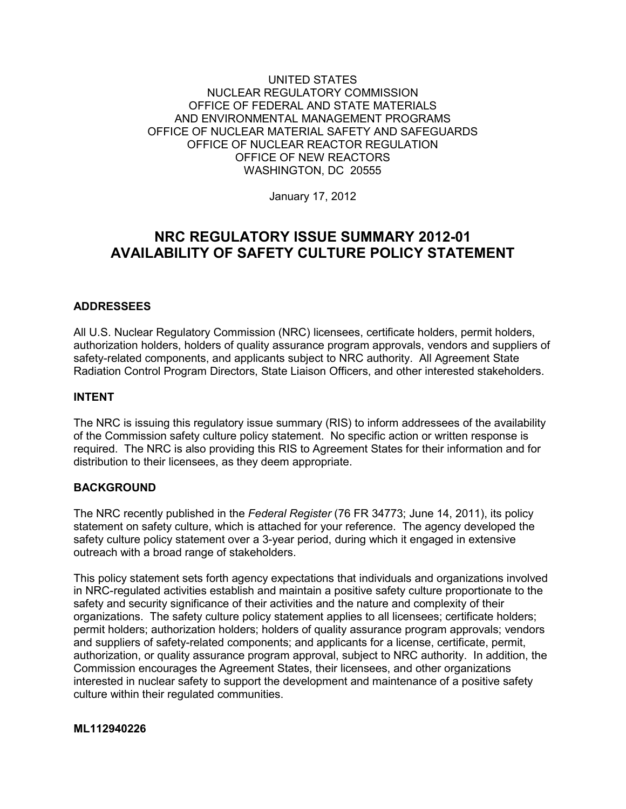### UNITED STATES NUCLEAR REGULATORY COMMISSION OFFICE OF FEDERAL AND STATE MATERIALS AND ENVIRONMENTAL MANAGEMENT PROGRAMS OFFICE OF NUCLEAR MATERIAL SAFETY AND SAFEGUARDS OFFICE OF NUCLEAR REACTOR REGULATION OFFICE OF NEW REACTORS WASHINGTON, DC 20555

January 17, 2012

# **NRC REGULATORY ISSUE SUMMARY 2012-01 AVAILABILITY OF SAFETY CULTURE POLICY STATEMENT**

## **ADDRESSEES**

All U.S. Nuclear Regulatory Commission (NRC) licensees, certificate holders, permit holders, authorization holders, holders of quality assurance program approvals, vendors and suppliers of safety-related components, and applicants subject to NRC authority. All Agreement State Radiation Control Program Directors, State Liaison Officers, and other interested stakeholders.

### **INTENT**

The NRC is issuing this regulatory issue summary (RIS) to inform addressees of the availability of the Commission safety culture policy statement. No specific action or written response is required. The NRC is also providing this RIS to Agreement States for their information and for distribution to their licensees, as they deem appropriate.

### **BACKGROUND**

The NRC recently published in the *Federal Register* (76 FR 34773; June 14, 2011), its policy statement on safety culture, which is attached for your reference. The agency developed the safety culture policy statement over a 3-year period, during which it engaged in extensive outreach with a broad range of stakeholders.

This policy statement sets forth agency expectations that individuals and organizations involved in NRC-regulated activities establish and maintain a positive safety culture proportionate to the safety and security significance of their activities and the nature and complexity of their organizations. The safety culture policy statement applies to all licensees; certificate holders; permit holders; authorization holders; holders of quality assurance program approvals; vendors and suppliers of safety-related components; and applicants for a license, certificate, permit, authorization, or quality assurance program approval, subject to NRC authority. In addition, the Commission encourages the Agreement States, their licensees, and other organizations interested in nuclear safety to support the development and maintenance of a positive safety culture within their regulated communities.

### **ML112940226**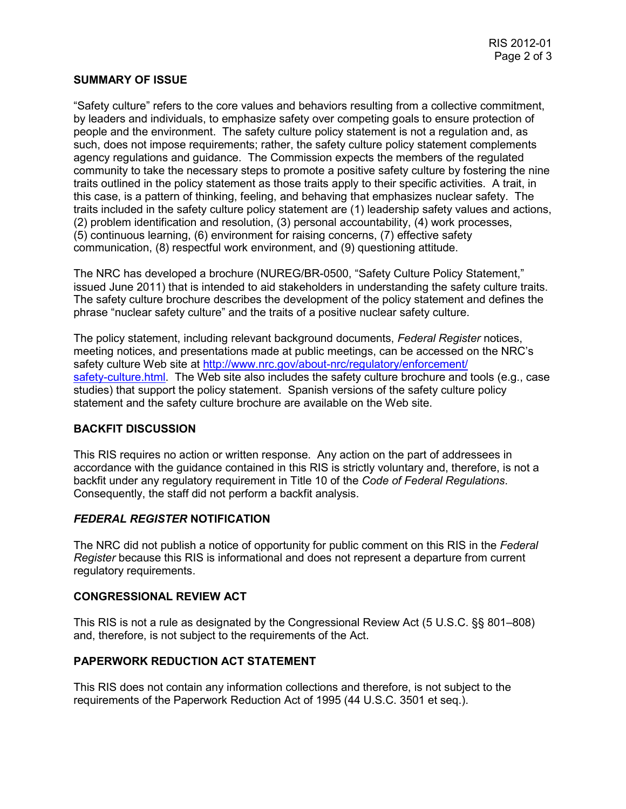### **SUMMARY OF ISSUE**

"Safety culture" refers to the core values and behaviors resulting from a collective commitment, by leaders and individuals, to emphasize safety over competing goals to ensure protection of people and the environment. The safety culture policy statement is not a regulation and, as such, does not impose requirements; rather, the safety culture policy statement complements agency regulations and guidance. The Commission expects the members of the regulated community to take the necessary steps to promote a positive safety culture by fostering the nine traits outlined in the policy statement as those traits apply to their specific activities. A trait, in this case, is a pattern of thinking, feeling, and behaving that emphasizes nuclear safety. The traits included in the safety culture policy statement are (1) leadership safety values and actions, (2) problem identification and resolution, (3) personal accountability, (4) work processes, (5) continuous learning, (6) environment for raising concerns, (7) effective safety communication, (8) respectful work environment, and (9) questioning attitude.

The NRC has developed a brochure (NUREG/BR-0500, "Safety Culture Policy Statement," issued June 2011) that is intended to aid stakeholders in understanding the safety culture traits. The safety culture brochure describes the development of the policy statement and defines the phrase "nuclear safety culture" and the traits of a positive nuclear safety culture.

The policy statement, including relevant background documents, *Federal Register* notices, meeting notices, and presentations made at public meetings, can be accessed on the NRC's safety culture Web site at http://www.nrc.gov/about-nrc/regulatory/enforcement/ [safety-culture.html. The Web site also includes the safety culture brochure and](http://www.nrc.gov/about-nrc/regulatory/enforcement/safety-culture.html) tools (e.g., case studies) that support the policy statement. Spanish versions of the safety culture policy statement and the safety culture brochure are available on the Web site.

## **BACKFIT DISCUSSION**

This RIS requires no action or written response. Any action on the part of addressees in accordance with the guidance contained in this RIS is strictly voluntary and, therefore, is not a backfit under any regulatory requirement in Title 10 of the *Code of Federal Regulations*. Consequently, the staff did not perform a backfit analysis.

## *FEDERAL REGISTER* **NOTIFICATION**

The NRC did not publish a notice of opportunity for public comment on this RIS in the *Federal Register* because this RIS is informational and does not represent a departure from current regulatory requirements.

### **CONGRESSIONAL REVIEW ACT**

This RIS is not a rule as designated by the Congressional Review Act (5 U.S.C. §§ 801–808) and, therefore, is not subject to the requirements of the Act.

### **PAPERWORK REDUCTION ACT STATEMENT**

This RIS does not contain any information collections and therefore, is not subject to the requirements of the Paperwork Reduction Act of 1995 (44 U.S.C. 3501 et seq.).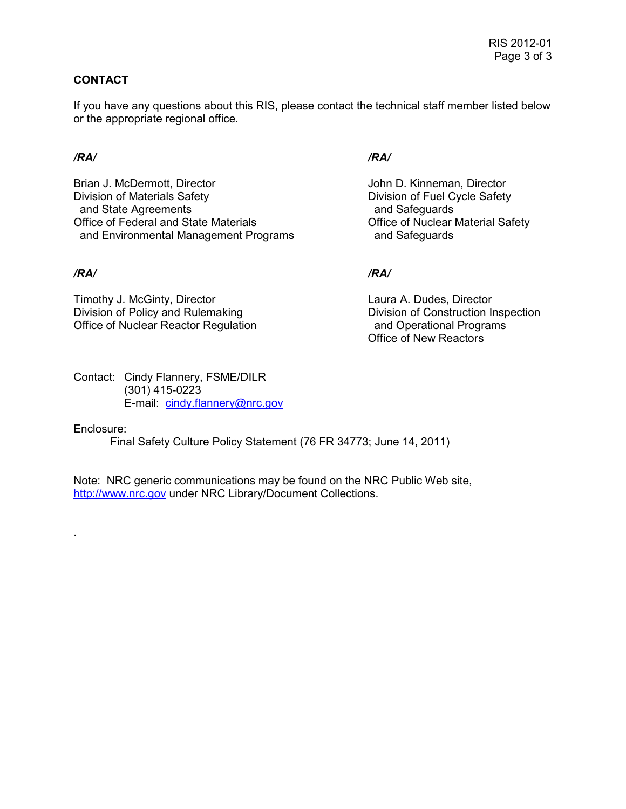## **CONTACT**

If you have any questions about this RIS, please contact the technical staff member listed below or the appropriate regional office.

Brian J. McDermott, Director **John D. Kinneman, Director** Division of Materials Safety<br>
and State Agreements<br>
and Safeguards<br>
and Safeguards and State Agreements Office of Federal and State Materials Office of Nuclear Material Safety and Environmental Management Programs and Safeguards

Timothy J. McGinty, Director<br>
Division of Policy and Rulemaking<br>
Laura A. Dudes, Director<br>
Division of Construction In Office of Nuclear Reactor Regulation and Operational Programs

Contact: Cindy Flannery, FSME/DILR (301) 415-0223 E-mail: cindy.flannery@nrc.gov

## Enclosure:

.

Final Safety Culture Policy Statement (76 FR 34773; June 14, 2011)

Note: NRC generic communications may be found on the NRC Public Web site, http://www.nrc.gov under NRC Library/Document Collections.

## */RA/ /RA/*

## */RA/ /RA/*

Division of Construction Inspection **Office of New Reactors**